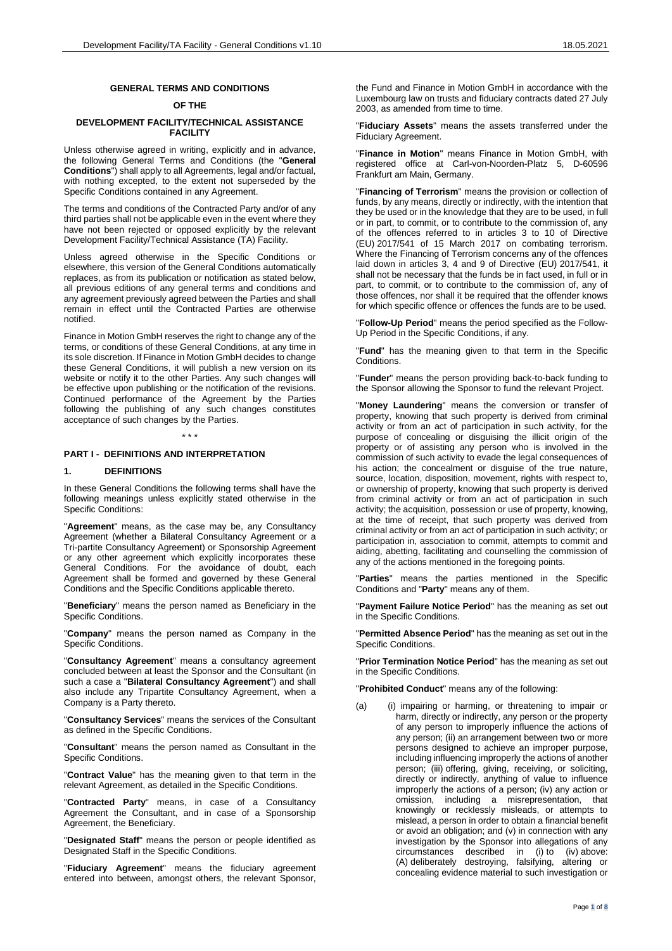#### **GENERAL TERMS AND CONDITIONS**

## **OF THE**

## **DEVELOPMENT FACILITY/TECHNICAL ASSISTANCE FACILITY**

Unless otherwise agreed in writing, explicitly and in advance, the following General Terms and Conditions (the "**General Conditions**") shall apply to all Agreements, legal and/or factual, with nothing excepted, to the extent not superseded by the Specific Conditions contained in any Agreement.

The terms and conditions of the Contracted Party and/or of any third parties shall not be applicable even in the event where they have not been rejected or opposed explicitly by the relevant Development Facility/Technical Assistance (TA) Facility.

Unless agreed otherwise in the Specific Conditions or elsewhere, this version of the General Conditions automatically replaces, as from its publication or notification as stated below, all previous editions of any general terms and conditions and any agreement previously agreed between the Parties and shall remain in effect until the Contracted Parties are otherwise notified.

Finance in Motion GmbH reserves the right to change any of the terms, or conditions of these General Conditions, at any time in its sole discretion. If Finance in Motion GmbH decides to change these General Conditions, it will publish a new version on its website or notify it to the other Parties. Any such changes will be effective upon publishing or the notification of the revisions. Continued performance of the Agreement by the Parties following the publishing of any such changes constitutes acceptance of such changes by the Parties.

\* \* \*

#### **PART I - DEFINITIONS AND INTERPRETATION**

#### **1. DEFINITIONS**

In these General Conditions the following terms shall have the following meanings unless explicitly stated otherwise in the Specific Conditions:

"**Agreement**" means, as the case may be, any Consultancy Agreement (whether a Bilateral Consultancy Agreement or a Tri-partite Consultancy Agreement) or Sponsorship Agreement or any other agreement which explicitly incorporates these General Conditions. For the avoidance of doubt, each Agreement shall be formed and governed by these General Conditions and the Specific Conditions applicable thereto.

"**Beneficiary**" means the person named as Beneficiary in the Specific Conditions.

"**Company**" means the person named as Company in the Specific Conditions.

"**Consultancy Agreement**" means a consultancy agreement concluded between at least the Sponsor and the Consultant (in such a case a "**Bilateral Consultancy Agreement**") and shall also include any Tripartite Consultancy Agreement, when a Company is a Party thereto.

"**Consultancy Services**" means the services of the Consultant as defined in the Specific Conditions.

"**Consultant**" means the person named as Consultant in the Specific Conditions.

"**Contract Value**" has the meaning given to that term in the relevant Agreement, as detailed in the Specific Conditions.

"**Contracted Party**" means, in case of a Consultancy Agreement the Consultant, and in case of a Sponsorship Agreement, the Beneficiary.

"**Designated Staff**" means the person or people identified as Designated Staff in the Specific Conditions.

"**Fiduciary Agreement**" means the fiduciary agreement entered into between, amongst others, the relevant Sponsor,

the Fund and Finance in Motion GmbH in accordance with the Luxembourg law on trusts and fiduciary contracts dated 27 July 2003, as amended from time to time.

"**Fiduciary Assets**" means the assets transferred under the Fiduciary Agreement.

"**Finance in Motion**" means Finance in Motion GmbH, with registered office at Carl-von-Noorden-Platz 5, D-60596 Frankfurt am Main, Germany.

"**Financing of Terrorism**" means the provision or collection of funds, by any means, directly or indirectly, with the intention that they be used or in the knowledge that they are to be used, in full or in part, to commit, or to contribute to the commission of, any of the offences referred to in articles 3 to 10 of Directive (EU) 2017/541 of 15 March 2017 on combating terrorism. Where the Financing of Terrorism concerns any of the offences laid down in articles 3, 4 and 9 of Directive (EU) 2017/541, it shall not be necessary that the funds be in fact used, in full or in part, to commit, or to contribute to the commission of, any of those offences, nor shall it be required that the offender knows for which specific offence or offences the funds are to be used.

"**Follow-Up Period**" means the period specified as the Follow-Up Period in the Specific Conditions, if any.

"**Fund**" has the meaning given to that term in the Specific Conditions.

"**Funder**" means the person providing back-to-back funding to the Sponsor allowing the Sponsor to fund the relevant Project.

"**Money Laundering**" means the conversion or transfer of property, knowing that such property is derived from criminal activity or from an act of participation in such activity, for the purpose of concealing or disguising the illicit origin of the property or of assisting any person who is involved in the commission of such activity to evade the legal consequences of his action; the concealment or disguise of the true nature, source, location, disposition, movement, rights with respect to, or ownership of property, knowing that such property is derived from criminal activity or from an act of participation in such activity; the acquisition, possession or use of property, knowing, at the time of receipt, that such property was derived from criminal activity or from an act of participation in such activity; or participation in, association to commit, attempts to commit and aiding, abetting, facilitating and counselling the commission of any of the actions mentioned in the foregoing points.

"**Parties**" means the parties mentioned in the Specific Conditions and "**Party**" means any of them.

"**Payment Failure Notice Period**" has the meaning as set out in the Specific Conditions.

"**Permitted Absence Period**" has the meaning as set out in the Specific Conditions.

"**Prior Termination Notice Period**" has the meaning as set out in the Specific Conditions.

"**Prohibited Conduct**" means any of the following:

(a) (i) impairing or harming, or threatening to impair or harm, directly or indirectly, any person or the property of any person to improperly influence the actions of any person; (ii) an arrangement between two or more persons designed to achieve an improper purpose, including influencing improperly the actions of another person; (iii) offering, giving, receiving, or soliciting, directly or indirectly, anything of value to influence improperly the actions of a person; (iv) any action or omission, including a misrepresentation, that knowingly or recklessly misleads, or attempts to mislead, a person in order to obtain a financial benefit or avoid an obligation; and (v) in connection with any investigation by the Sponsor into allegations of any circumstances described in (i) to (iv) above: (A) deliberately destroying, falsifying, altering or concealing evidence material to such investigation or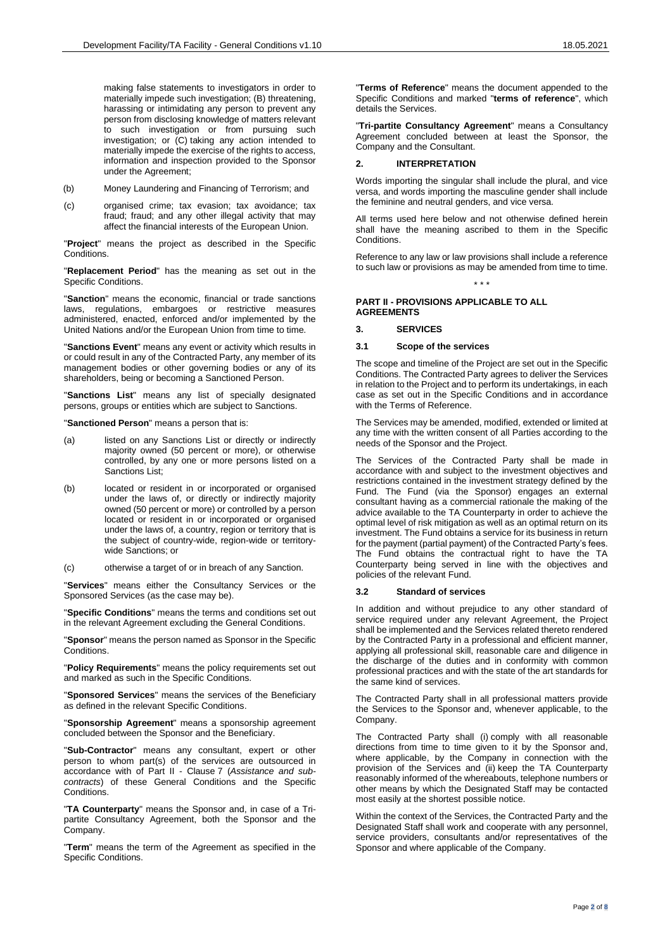making false statements to investigators in order to materially impede such investigation; (B) threatening, harassing or intimidating any person to prevent any person from disclosing knowledge of matters relevant to such investigation or from pursuing such investigation; or (C) taking any action intended to materially impede the exercise of the rights to access. information and inspection provided to the Sponsor under the Agreement;

- (b) Money Laundering and Financing of Terrorism; and
- (c) organised crime; tax evasion; tax avoidance; tax fraud; fraud; and any other illegal activity that may affect the financial interests of the European Union.

"**Project**" means the project as described in the Specific Conditions.

"**Replacement Period**" has the meaning as set out in the Specific Conditions.

"**Sanction**" means the economic, financial or trade sanctions laws, regulations, embargoes or restrictive measures administered, enacted, enforced and/or implemented by the United Nations and/or the European Union from time to time.

"**Sanctions Event**" means any event or activity which results in or could result in any of the Contracted Party, any member of its management bodies or other governing bodies or any of its shareholders, being or becoming a Sanctioned Person.

"**Sanctions List**" means any list of specially designated persons, groups or entities which are subject to Sanctions.

"**Sanctioned Person**" means a person that is:

- (a) listed on any Sanctions List or directly or indirectly majority owned (50 percent or more), or otherwise controlled, by any one or more persons listed on a Sanctions List;
- (b) located or resident in or incorporated or organised under the laws of, or directly or indirectly majority owned (50 percent or more) or controlled by a person located or resident in or incorporated or organised under the laws of, a country, region or territory that is the subject of country-wide, region-wide or territorywide Sanctions; or
- (c) otherwise a target of or in breach of any Sanction.

"**Services**" means either the Consultancy Services or the Sponsored Services (as the case may be).

"**Specific Conditions**" means the terms and conditions set out in the relevant Agreement excluding the General Conditions.

"**Sponsor**" means the person named as Sponsor in the Specific Conditions.

"**Policy Requirements**" means the policy requirements set out and marked as such in the Specific Conditions.

"**Sponsored Services**" means the services of the Beneficiary as defined in the relevant Specific Conditions.

"**Sponsorship Agreement**" means a sponsorship agreement concluded between the Sponsor and the Beneficiary.

"**Sub-Contractor**" means any consultant, expert or other person to whom part(s) of the services are outsourced in accordance with of [Part II -](#page-1-0) Clause [7](#page-3-0) (*Assistance and subcontracts*) of these General Conditions and the Specific Conditions.

"**TA Counterparty**" means the Sponsor and, in case of a Tripartite Consultancy Agreement, both the Sponsor and the Company.

"**Term**" means the term of the Agreement as specified in the Specific Conditions.

"**Terms of Reference**" means the document appended to the Specific Conditions and marked "**terms of reference**", which details the Services.

"**Tri-partite Consultancy Agreement**" means a Consultancy Agreement concluded between at least the Sponsor, the Company and the Consultant.

## **2. INTERPRETATION**

Words importing the singular shall include the plural, and vice versa, and words importing the masculine gender shall include the feminine and neutral genders, and vice versa.

All terms used here below and not otherwise defined herein shall have the meaning ascribed to them in the Specific Conditions.

Reference to any law or law provisions shall include a reference to such law or provisions as may be amended from time to time. \* \* \*

## <span id="page-1-0"></span>**PART II - PROVISIONS APPLICABLE TO ALL AGREEMENTS**

### **3. SERVICES**

### **3.1 Scope of the services**

The scope and timeline of the Project are set out in the Specific Conditions. The Contracted Party agrees to deliver the Services in relation to the Project and to perform its undertakings, in each case as set out in the Specific Conditions and in accordance with the Terms of Reference.

The Services may be amended, modified, extended or limited at any time with the written consent of all Parties according to the needs of the Sponsor and the Project.

The Services of the Contracted Party shall be made in accordance with and subject to the investment objectives and restrictions contained in the investment strategy defined by the Fund. The Fund (via the Sponsor) engages an external consultant having as a commercial rationale the making of the advice available to the TA Counterparty in order to achieve the optimal level of risk mitigation as well as an optimal return on its investment. The Fund obtains a service for its business in return for the payment (partial payment) of the Contracted Party's fees. The Fund obtains the contractual right to have the TA Counterparty being served in line with the objectives and policies of the relevant Fund.

### **3.2 Standard of services**

In addition and without prejudice to any other standard of service required under any relevant Agreement, the Project shall be implemented and the Services related thereto rendered by the Contracted Party in a professional and efficient manner, applying all professional skill, reasonable care and diligence in the discharge of the duties and in conformity with common professional practices and with the state of the art standards for the same kind of services.

The Contracted Party shall in all professional matters provide the Services to the Sponsor and, whenever applicable, to the Company.

The Contracted Party shall (i) comply with all reasonable directions from time to time given to it by the Sponsor and, where applicable, by the Company in connection with the provision of the Services and (ii) keep the TA Counterparty reasonably informed of the whereabouts, telephone numbers or other means by which the Designated Staff may be contacted most easily at the shortest possible notice.

Within the context of the Services, the Contracted Party and the Designated Staff shall work and cooperate with any personnel, service providers, consultants and/or representatives of the Sponsor and where applicable of the Company.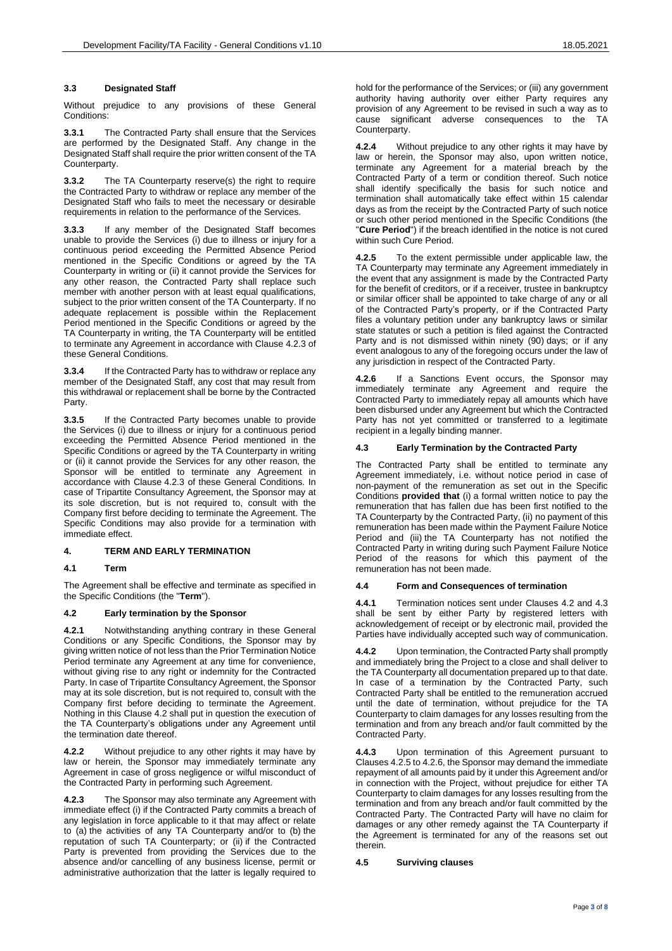## <span id="page-2-6"></span>**3.3 Designated Staff**

Without prejudice to any provisions of these General Conditions:

**3.3.1** The Contracted Party shall ensure that the Services are performed by the Designated Staff. Any change in the Designated Staff shall require the prior written consent of the TA Counterparty.

**3.3.2** The TA Counterparty reserve(s) the right to require the Contracted Party to withdraw or replace any member of the Designated Staff who fails to meet the necessary or desirable requirements in relation to the performance of the Services.

**3.3.3** If any member of the Designated Staff becomes unable to provide the Services (i) due to illness or injury for a continuous period exceeding the Permitted Absence Period mentioned in the Specific Conditions or agreed by the TA Counterparty in writing or (ii) it cannot provide the Services for any other reason, the Contracted Party shall replace such member with another person with at least equal qualifications, subject to the prior written consent of the TA Counterparty. If no adequate replacement is possible within the Replacement Period mentioned in the Specific Conditions or agreed by the TA Counterparty in writing, the TA Counterparty will be entitled to terminate any Agreement in accordance with Clause [4.2.3](#page-2-0) of these General Conditions.

**3.3.4** If the Contracted Party has to withdraw or replace any member of the Designated Staff, any cost that may result from this withdrawal or replacement shall be borne by the Contracted Party.

**3.3.5** If the Contracted Party becomes unable to provide the Services (i) due to illness or injury for a continuous period exceeding the Permitted Absence Period mentioned in the Specific Conditions or agreed by the TA Counterparty in writing or (ii) it cannot provide the Services for any other reason, the Sponsor will be entitled to terminate any Agreement in accordance with Clause [4.2.3](#page-2-0) of these General Conditions. In case of Tripartite Consultancy Agreement, the Sponsor may at its sole discretion, but is not required to, consult with the Company first before deciding to terminate the Agreement. The Specific Conditions may also provide for a termination with immediate effect.

## **4. TERM AND EARLY TERMINATION**

### **4.1 Term**

The Agreement shall be effective and terminate as specified in the Specific Conditions (the "**Term**").

### <span id="page-2-1"></span>**4.2 Early termination by the Sponsor**

**4.2.1** Notwithstanding anything contrary in these General Conditions or any Specific Conditions, the Sponsor may by giving written notice of not less than the Prior Termination Notice Period terminate any Agreement at any time for convenience, without giving rise to any right or indemnity for the Contracted Party. In case of Tripartite Consultancy Agreement, the Sponsor may at its sole discretion, but is not required to, consult with the Company first before deciding to terminate the Agreement. Nothing in this Clause [4.2](#page-2-1) shall put in question the execution of the TA Counterparty's obligations under any Agreement until the termination date thereof.

**4.2.2** Without prejudice to any other rights it may have by law or herein, the Sponsor may immediately terminate any Agreement in case of gross negligence or wilful misconduct of the Contracted Party in performing such Agreement.

<span id="page-2-0"></span>**4.2.3** The Sponsor may also terminate any Agreement with immediate effect (i) if the Contracted Party commits a breach of any legislation in force applicable to it that may affect or relate to (a) the activities of any TA Counterparty and/or to (b) the reputation of such TA Counterparty; or (ii) if the Contracted Party is prevented from providing the Services due to the absence and/or cancelling of any business license, permit or administrative authorization that the latter is legally required to

hold for the performance of the Services; or (iii) any government authority having authority over either Party requires any provision of any Agreement to be revised in such a way as to cause significant adverse consequences to the TA Counterparty.

**4.2.4** Without prejudice to any other rights it may have by law or herein, the Sponsor may also, upon written notice, terminate any Agreement for a material breach by the Contracted Party of a term or condition thereof. Such notice shall identify specifically the basis for such notice and termination shall automatically take effect within 15 calendar days as from the receipt by the Contracted Party of such notice or such other period mentioned in the Specific Conditions (the "**Cure Period**") if the breach identified in the notice is not cured within such Cure Period.

<span id="page-2-3"></span>**4.2.5** To the extent permissible under applicable law, the TA Counterparty may terminate any Agreement immediately in the event that any assignment is made by the Contracted Party for the benefit of creditors, or if a receiver, trustee in bankruptcy or similar officer shall be appointed to take charge of any or all of the Contracted Party's property, or if the Contracted Party files a voluntary petition under any bankruptcy laws or similar state statutes or such a petition is filed against the Contracted Party and is not dismissed within ninety (90) days; or if any event analogous to any of the foregoing occurs under the law of any jurisdiction in respect of the Contracted Party.

<span id="page-2-4"></span>**4.2.6** If a Sanctions Event occurs, the Sponsor may immediately terminate any Agreement and require the Contracted Party to immediately repay all amounts which have been disbursed under any Agreement but which the Contracted Party has not yet committed or transferred to a legitimate recipient in a legally binding manner.

### <span id="page-2-2"></span>**4.3 Early Termination by the Contracted Party**

The Contracted Party shall be entitled to terminate any Agreement immediately, i.e. without notice period in case of non-payment of the remuneration as set out in the Specific Conditions **provided that** (i) a formal written notice to pay the remuneration that has fallen due has been first notified to the TA Counterparty by the Contracted Party, (ii) no payment of this remuneration has been made within the Payment Failure Notice Period and (iii) the TA Counterparty has not notified the Contracted Party in writing during such Payment Failure Notice Period of the reasons for which this payment of the remuneration has not been made.

### **4.4 Form and Consequences of termination**

**4.4.1** Termination notices sent under Clauses [4.2](#page-2-1) and [4.3](#page-2-2) shall be sent by either Party by registered letters with acknowledgement of receipt or by electronic mail, provided the Parties have individually accepted such way of communication.

<span id="page-2-5"></span>**4.4.2** Upon termination, the Contracted Party shall promptly and immediately bring the Project to a close and shall deliver to the TA Counterparty all documentation prepared up to that date. In case of a termination by the Contracted Party, such Contracted Party shall be entitled to the remuneration accrued until the date of termination, without prejudice for the TA Counterparty to claim damages for any losses resulting from the termination and from any breach and/or fault committed by the Contracted Party.

**4.4.3** Upon termination of this Agreement pursuant to Clause[s 4.2.5](#page-2-3) t[o 4.2.6,](#page-2-4) the Sponsor may demand the immediate repayment of all amounts paid by it under this Agreement and/or in connection with the Project, without prejudice for either TA Counterparty to claim damages for any losses resulting from the termination and from any breach and/or fault committed by the Contracted Party. The Contracted Party will have no claim for damages or any other remedy against the TA Counterparty if the Agreement is terminated for any of the reasons set out therein.

## **4.5 Surviving clauses**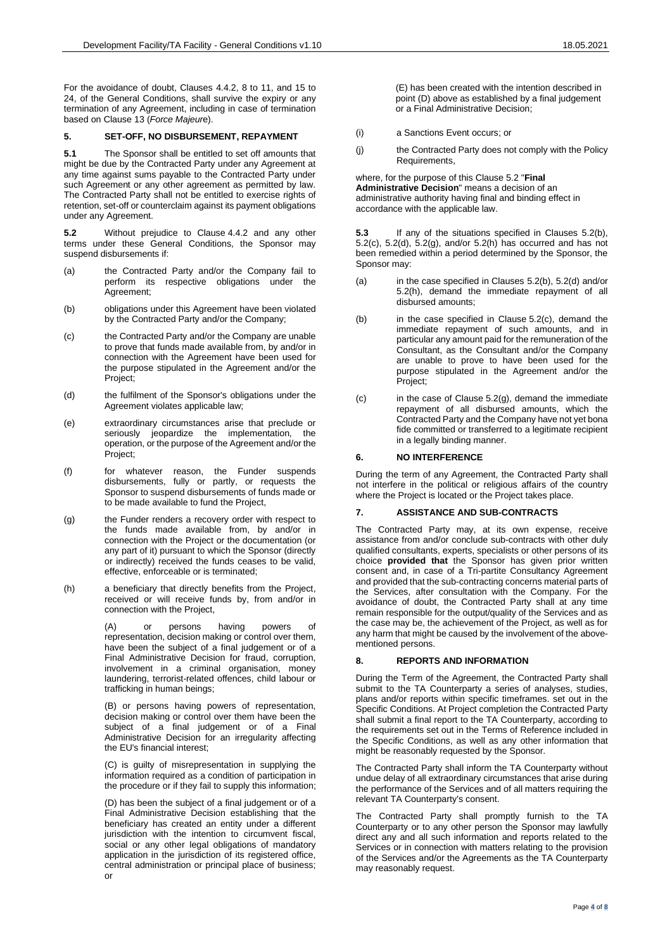For the avoidance of doubt, Clauses [4.4.2,](#page-2-5) [8](#page-3-1) to [11,](#page-4-0) and [15](#page-4-1) to [24,](#page-6-0) of the General Conditions, shall survive the expiry or any termination of any Agreement, including in case of termination based on Clause [13](#page-4-2) (*Force Majeur*e).

## **5. SET-OFF, NO DISBURSEMENT, REPAYMENT**

**5.1** The Sponsor shall be entitled to set off amounts that might be due by the Contracted Party under any Agreement at any time against sums payable to the Contracted Party under such Agreement or any other agreement as permitted by law. The Contracted Party shall not be entitled to exercise rights of retention, set-off or counterclaim against its payment obligations under any Agreement.

<span id="page-3-2"></span>**5.2** Without prejudice to Clause [4.4.2](#page-2-5) and any other terms under these General Conditions, the Sponsor may suspend disbursements if:

- (a) the Contracted Party and/or the Company fail to perform its respective obligations under the Agreement;
- <span id="page-3-3"></span>(b) obligations under this Agreement have been violated by the Contracted Party and/or the Company;
- <span id="page-3-4"></span>(c) the Contracted Party and/or the Company are unable to prove that funds made available from, by and/or in connection with the Agreement have been used for the purpose stipulated in the Agreement and/or the Project;
- <span id="page-3-5"></span>(d) the fulfilment of the Sponsor's obligations under the Agreement violates applicable law;
- (e) extraordinary circumstances arise that preclude or seriously jeopardize the implementation, the operation, or the purpose of the Agreement and/or the Project:
- (f) for whatever reason, the Funder suspends disbursements, fully or partly, or requests the Sponsor to suspend disbursements of funds made or to be made available to fund the Project,
- <span id="page-3-6"></span>(g) the Funder renders a recovery order with respect to the funds made available from, by and/or in connection with the Project or the documentation (or any part of it) pursuant to which the Sponsor (directly or indirectly) received the funds ceases to be valid, effective, enforceable or is terminated;
- <span id="page-3-7"></span>(h) a beneficiary that directly benefits from the Project, received or will receive funds by, from and/or in connection with the Project,

or persons having powers of representation, decision making or control over them, have been the subject of a final judgement or of a Final Administrative Decision for fraud, corruption, involvement in a criminal organisation, money laundering, terrorist-related offences, child labour or trafficking in human beings;

(B) or persons having powers of representation, decision making or control over them have been the subject of a final judgement or of a Final Administrative Decision for an irregularity affecting the EU's financial interest;

(C) is guilty of misrepresentation in supplying the information required as a condition of participation in the procedure or if they fail to supply this information;

(D) has been the subject of a final judgement or of a Final Administrative Decision establishing that the beneficiary has created an entity under a different jurisdiction with the intention to circumvent fiscal, social or any other legal obligations of mandatory application in the jurisdiction of its registered office, central administration or principal place of business; or

(E) has been created with the intention described in point (D) above as established by a final judgement or a Final Administrative Decision;

- (i) a Sanctions Event occurs; or
- (j) the Contracted Party does not comply with the Policy Requirements,

where, for the purpose of this Claus[e 5.2](#page-3-2) "**Final Administrative Decision**" means a decision of an administrative authority having final and binding effect in accordance with the applicable law.

**5.3** If any of the situations specified in Clauses [5.2\(b\),](#page-3-3)  [5.2\(c\),](#page-3-4) [5.2\(d\),](#page-3-5) [5.2\(g\),](#page-3-6) and/or [5.2\(h\)](#page-3-7) has occurred and has not been remedied within a period determined by the Sponsor, the Sponsor may:

- (a) in the case specified in Clauses [5.2\(b\),](#page-3-3) [5.2\(d\)](#page-3-5) and/or [5.2\(h\),](#page-3-7) demand the immediate repayment of all disbursed amounts;
- (b) in the case specified in Clause [5.2\(c\),](#page-3-4) demand the immediate repayment of such amounts, and in particular any amount paid for the remuneration of the Consultant, as the Consultant and/or the Company are unable to prove to have been used for the purpose stipulated in the Agreement and/or the Project;
- (c) in the case of Clause [5.2\(g\),](#page-3-6) demand the immediate repayment of all disbursed amounts, which the Contracted Party and the Company have not yet bona fide committed or transferred to a legitimate recipient in a legally binding manner.

## **6. NO INTERFERENCE**

During the term of any Agreement, the Contracted Party shall not interfere in the political or religious affairs of the country where the Project is located or the Project takes place.

## <span id="page-3-0"></span>**7. ASSISTANCE AND SUB-CONTRACTS**

The Contracted Party may, at its own expense, receive assistance from and/or conclude sub-contracts with other duly qualified consultants, experts, specialists or other persons of its choice **provided that** the Sponsor has given prior written consent and, in case of a Tri-partite Consultancy Agreement and provided that the sub-contracting concerns material parts of the Services, after consultation with the Company. For the avoidance of doubt, the Contracted Party shall at any time remain responsible for the output/quality of the Services and as the case may be, the achievement of the Project, as well as for any harm that might be caused by the involvement of the abovementioned persons.

## <span id="page-3-1"></span>**8. REPORTS AND INFORMATION**

During the Term of the Agreement, the Contracted Party shall submit to the TA Counterparty a series of analyses, studies, plans and/or reports within specific timeframes. set out in the Specific Conditions. At Project completion the Contracted Party shall submit a final report to the TA Counterparty, according to the requirements set out in the Terms of Reference included in the Specific Conditions, as well as any other information that might be reasonably requested by the Sponsor.

The Contracted Party shall inform the TA Counterparty without undue delay of all extraordinary circumstances that arise during the performance of the Services and of all matters requiring the relevant TA Counterparty's consent.

The Contracted Party shall promptly furnish to the TA Counterparty or to any other person the Sponsor may lawfully direct any and all such information and reports related to the Services or in connection with matters relating to the provision of the Services and/or the Agreements as the TA Counterparty may reasonably request.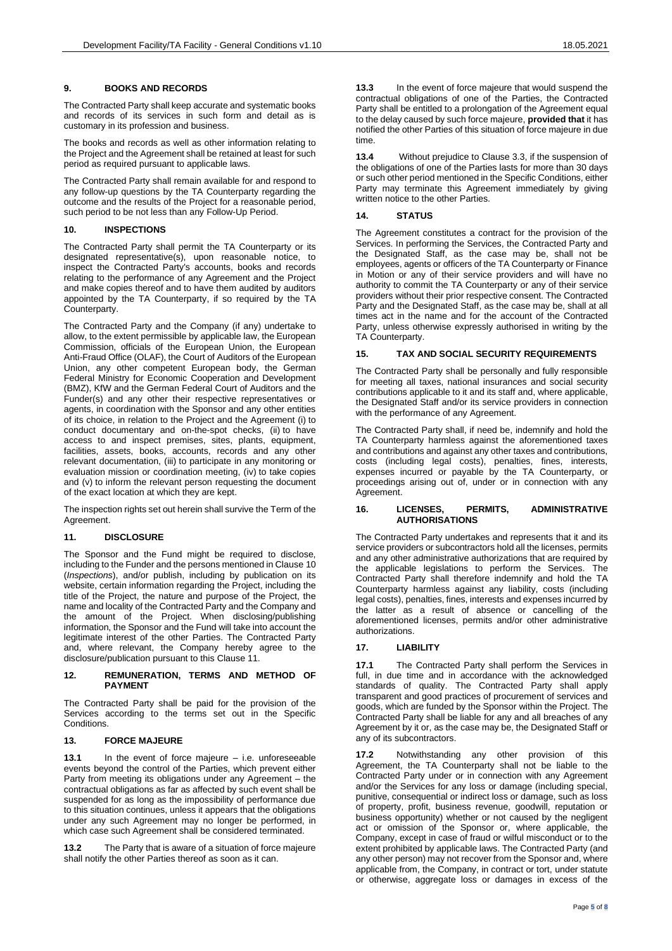## **9. BOOKS AND RECORDS**

The Contracted Party shall keep accurate and systematic books and records of its services in such form and detail as is customary in its profession and business.

The books and records as well as other information relating to the Project and the Agreement shall be retained at least for such period as required pursuant to applicable laws.

The Contracted Party shall remain available for and respond to any follow-up questions by the TA Counterparty regarding the outcome and the results of the Project for a reasonable period, such period to be not less than any Follow-Up Period.

## <span id="page-4-3"></span>**10. INSPECTIONS**

The Contracted Party shall permit the TA Counterparty or its designated representative(s), upon reasonable notice, to inspect the Contracted Party's accounts, books and records relating to the performance of any Agreement and the Project and make copies thereof and to have them audited by auditors appointed by the TA Counterparty, if so required by the TA Counterparty.

The Contracted Party and the Company (if any) undertake to allow, to the extent permissible by applicable law, the European Commission, officials of the European Union, the European Anti-Fraud Office (OLAF), the Court of Auditors of the European Union, any other competent European body, the German Federal Ministry for Economic Cooperation and Development (BMZ), KfW and the German Federal Court of Auditors and the Funder(s) and any other their respective representatives or agents, in coordination with the Sponsor and any other entities of its choice, in relation to the Project and the Agreement (i) to conduct documentary and on-the-spot checks, (ii) to have access to and inspect premises, sites, plants, equipment, facilities, assets, books, accounts, records and any other relevant documentation, (iii) to participate in any monitoring or evaluation mission or coordination meeting, (iv) to take copies and (v) to inform the relevant person requesting the document of the exact location at which they are kept.

The inspection rights set out herein shall survive the Term of the Agreement.

## <span id="page-4-0"></span>**11. DISCLOSURE**

The Sponsor and the Fund might be required to disclose, including to the Funder and the persons mentioned in Clause [10](#page-4-3) (*Inspections*), and/or publish, including by publication on its website, certain information regarding the Project, including the title of the Project, the nature and purpose of the Project, the name and locality of the Contracted Party and the Company and the amount of the Project. When disclosing/publishing information, the Sponsor and the Fund will take into account the legitimate interest of the other Parties. The Contracted Party and, where relevant, the Company hereby agree to the disclosure/publication pursuant to this Clause [11.](#page-4-0)

#### **12. REMUNERATION, TERMS AND METHOD OF PAYMENT**

The Contracted Party shall be paid for the provision of the Services according to the terms set out in the Specific Conditions.

### <span id="page-4-2"></span>**13. FORCE MAJEURE**

**13.1** In the event of force majeure – i.e. unforeseeable events beyond the control of the Parties, which prevent either Party from meeting its obligations under any Agreement – the contractual obligations as far as affected by such event shall be suspended for as long as the impossibility of performance due to this situation continues, unless it appears that the obligations under any such Agreement may no longer be performed, in which case such Agreement shall be considered terminated.

**13.2** The Party that is aware of a situation of force majeure shall notify the other Parties thereof as soon as it can.

**13.3** In the event of force majeure that would suspend the contractual obligations of one of the Parties, the Contracted Party shall be entitled to a prolongation of the Agreement equal to the delay caused by such force majeure, **provided that** it has notified the other Parties of this situation of force majeure in due time.

**13.4** Without prejudice to Clause [3.3,](#page-2-6) if the suspension of the obligations of one of the Parties lasts for more than 30 days or such other period mentioned in the Specific Conditions, either Party may terminate this Agreement immediately by giving written notice to the other Parties.

## **14. STATUS**

The Agreement constitutes a contract for the provision of the Services. In performing the Services, the Contracted Party and the Designated Staff, as the case may be, shall not be employees, agents or officers of the TA Counterparty or Finance in Motion or any of their service providers and will have no authority to commit the TA Counterparty or any of their service providers without their prior respective consent. The Contracted Party and the Designated Staff, as the case may be, shall at all times act in the name and for the account of the Contracted Party, unless otherwise expressly authorised in writing by the TA Counterparty.

## <span id="page-4-1"></span>**15. TAX AND SOCIAL SECURITY REQUIREMENTS**

The Contracted Party shall be personally and fully responsible for meeting all taxes, national insurances and social security contributions applicable to it and its staff and, where applicable, the Designated Staff and/or its service providers in connection with the performance of any Agreement.

The Contracted Party shall, if need be, indemnify and hold the TA Counterparty harmless against the aforementioned taxes and contributions and against any other taxes and contributions, costs (including legal costs), penalties, fines, interests, expenses incurred or payable by the TA Counterparty, or proceedings arising out of, under or in connection with any Agreement.

#### **16. LICENSES, PERMITS, ADMINISTRATIVE AUTHORISATIONS**

The Contracted Party undertakes and represents that it and its service providers or subcontractors hold all the licenses, permits and any other administrative authorizations that are required by the applicable legislations to perform the Services. The Contracted Party shall therefore indemnify and hold the TA Counterparty harmless against any liability, costs (including legal costs), penalties, fines, interests and expenses incurred by the latter as a result of absence or cancelling of the aforementioned licenses, permits and/or other administrative authorizations.

# **17. LIABILITY**

**17.1** The Contracted Party shall perform the Services in full, in due time and in accordance with the acknowledged standards of quality. The Contracted Party shall apply transparent and good practices of procurement of services and goods, which are funded by the Sponsor within the Project. The Contracted Party shall be liable for any and all breaches of any Agreement by it or, as the case may be, the Designated Staff or any of its subcontractors.

**17.2** Notwithstanding any other provision of this Agreement, the TA Counterparty shall not be liable to the Contracted Party under or in connection with any Agreement and/or the Services for any loss or damage (including special, punitive, consequential or indirect loss or damage, such as loss of property, profit, business revenue, goodwill, reputation or business opportunity) whether or not caused by the negligent act or omission of the Sponsor or, where applicable, the Company, except in case of fraud or wilful misconduct or to the extent prohibited by applicable laws. The Contracted Party (and any other person) may not recover from the Sponsor and, where applicable from, the Company, in contract or tort, under statute or otherwise, aggregate loss or damages in excess of the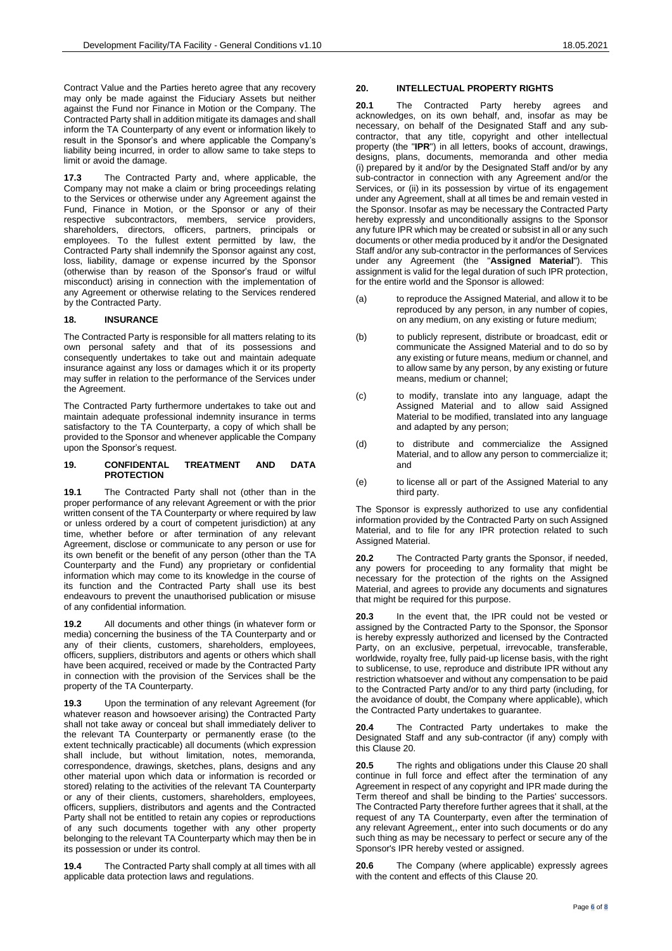Contract Value and the Parties hereto agree that any recovery may only be made against the Fiduciary Assets but neither against the Fund nor Finance in Motion or the Company. The Contracted Party shall in addition mitigate its damages and shall inform the TA Counterparty of any event or information likely to result in the Sponsor's and where applicable the Company's liability being incurred, in order to allow same to take steps to limit or avoid the damage.

**17.3** The Contracted Party and, where applicable, the Company may not make a claim or bring proceedings relating to the Services or otherwise under any Agreement against the Fund, Finance in Motion, or the Sponsor or any of their respective subcontractors, members, service providers, shareholders, directors, officers, partners, principals or employees. To the fullest extent permitted by law, the Contracted Party shall indemnify the Sponsor against any cost, loss, liability, damage or expense incurred by the Sponsor (otherwise than by reason of the Sponsor's fraud or wilful misconduct) arising in connection with the implementation of any Agreement or otherwise relating to the Services rendered by the Contracted Party.

### **18. INSURANCE**

The Contracted Party is responsible for all matters relating to its own personal safety and that of its possessions and consequently undertakes to take out and maintain adequate insurance against any loss or damages which it or its property may suffer in relation to the performance of the Services under the Agreement.

The Contracted Party furthermore undertakes to take out and maintain adequate professional indemnity insurance in terms satisfactory to the TA Counterparty, a copy of which shall be provided to the Sponsor and whenever applicable the Company upon the Sponsor's request.

## **19. CONFIDENTAL TREATMENT AND DATA PROTECTION**

**19.1** The Contracted Party shall not (other than in the proper performance of any relevant Agreement or with the prior written consent of the TA Counterparty or where required by law or unless ordered by a court of competent jurisdiction) at any time, whether before or after termination of any relevant Agreement, disclose or communicate to any person or use for its own benefit or the benefit of any person (other than the TA Counterparty and the Fund) any proprietary or confidential information which may come to its knowledge in the course of its function and the Contracted Party shall use its best endeavours to prevent the unauthorised publication or misuse of any confidential information.

**19.2** All documents and other things (in whatever form or media) concerning the business of the TA Counterparty and or any of their clients, customers, shareholders, employees, officers, suppliers, distributors and agents or others which shall have been acquired, received or made by the Contracted Party in connection with the provision of the Services shall be the property of the TA Counterparty.

**19.3** Upon the termination of any relevant Agreement (for whatever reason and howsoever arising) the Contracted Party shall not take away or conceal but shall immediately deliver to the relevant TA Counterparty or permanently erase (to the extent technically practicable) all documents (which expression shall include, but without limitation, notes, memoranda, correspondence, drawings, sketches, plans, designs and any other material upon which data or information is recorded or stored) relating to the activities of the relevant TA Counterparty or any of their clients, customers, shareholders, employees, officers, suppliers, distributors and agents and the Contracted Party shall not be entitled to retain any copies or reproductions of any such documents together with any other property belonging to the relevant TA Counterparty which may then be in its possession or under its control.

**19.4** The Contracted Party shall comply at all times with all applicable data protection laws and regulations.

## <span id="page-5-0"></span>**20. INTELLECTUAL PROPERTY RIGHTS**

**20.1** The Contracted Party hereby agrees and acknowledges, on its own behalf, and, insofar as may be necessary, on behalf of the Designated Staff and any subcontractor, that any title, copyright and other intellectual property (the "**IPR**") in all letters, books of account, drawings, designs, plans, documents, memoranda and other media (i) prepared by it and/or by the Designated Staff and/or by any sub-contractor in connection with any Agreement and/or the Services, or (ii) in its possession by virtue of its engagement under any Agreement, shall at all times be and remain vested in the Sponsor. Insofar as may be necessary the Contracted Party hereby expressly and unconditionally assigns to the Sponsor any future IPR which may be created or subsist in all or any such documents or other media produced by it and/or the Designated Staff and/or any sub-contractor in the performances of Services under any Agreement (the "**Assigned Material**"). This assignment is valid for the legal duration of such IPR protection, for the entire world and the Sponsor is allowed:

- (a) to reproduce the Assigned Material, and allow it to be reproduced by any person, in any number of copies, on any medium, on any existing or future medium;
- (b) to publicly represent, distribute or broadcast, edit or communicate the Assigned Material and to do so by any existing or future means, medium or channel, and to allow same by any person, by any existing or future means, medium or channel;
- (c) to modify, translate into any language, adapt the Assigned Material and to allow said Assigned Material to be modified, translated into any language and adapted by any person;
- (d) to distribute and commercialize the Assigned Material, and to allow any person to commercialize it; and
- (e) to license all or part of the Assigned Material to any third party.

The Sponsor is expressly authorized to use any confidential information provided by the Contracted Party on such Assigned Material, and to file for any IPR protection related to such Assigned Material.

**20.2** The Contracted Party grants the Sponsor, if needed, any powers for proceeding to any formality that might be necessary for the protection of the rights on the Assigned Material, and agrees to provide any documents and signatures that might be required for this purpose.

**20.3** In the event that, the IPR could not be vested or assigned by the Contracted Party to the Sponsor, the Sponsor is hereby expressly authorized and licensed by the Contracted Party, on an exclusive, perpetual, irrevocable, transferable, worldwide, royalty free, fully paid-up license basis, with the right to sublicense, to use, reproduce and distribute IPR without any restriction whatsoever and without any compensation to be paid to the Contracted Party and/or to any third party (including, for the avoidance of doubt, the Company where applicable), which the Contracted Party undertakes to guarantee.

**20.4** The Contracted Party undertakes to make the Designated Staff and any sub-contractor (if any) comply with this Clause [20.](#page-5-0)

**20.5** The rights and obligations under this Clause [20](#page-5-0) shall continue in full force and effect after the termination of any Agreement in respect of any copyright and IPR made during the Term thereof and shall be binding to the Parties' successors. The Contracted Party therefore further agrees that it shall, at the request of any TA Counterparty, even after the termination of any relevant Agreement,, enter into such documents or do any such thing as may be necessary to perfect or secure any of the Sponsor's IPR hereby vested or assigned.

**20.6** The Company (where applicable) expressly agrees with the content and effects of this Clause [20.](#page-5-0)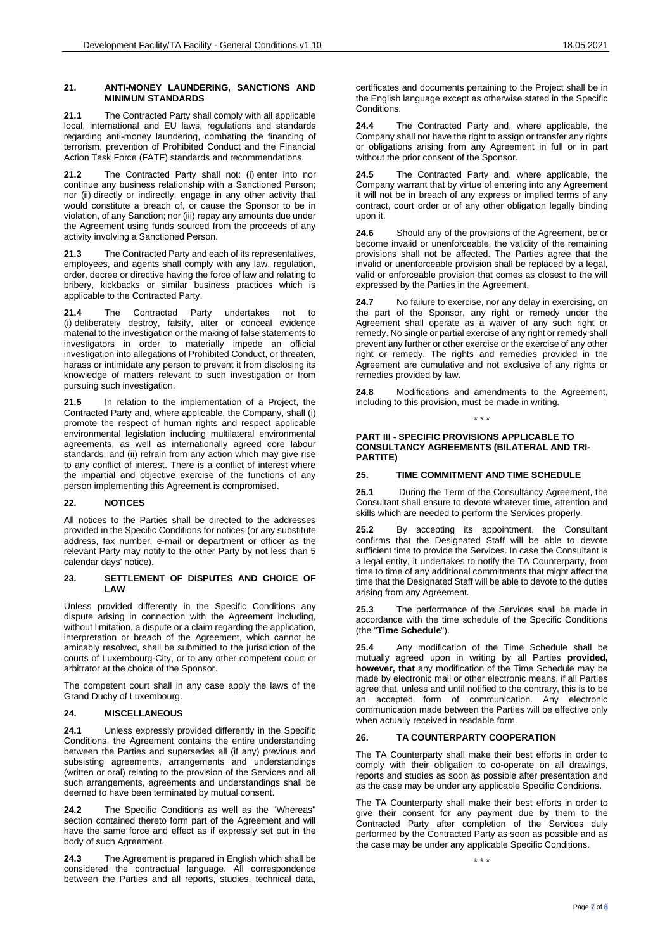#### **21. ANTI-MONEY LAUNDERING, SANCTIONS AND MINIMUM STANDARDS**

**21.1** The Contracted Party shall comply with all applicable local, international and EU laws, regulations and standards regarding anti-money laundering, combating the financing of terrorism, prevention of Prohibited Conduct and the Financial Action Task Force (FATF) standards and recommendations.

**21.2** The Contracted Party shall not: (i) enter into nor continue any business relationship with a Sanctioned Person; nor (ii) directly or indirectly, engage in any other activity that would constitute a breach of, or cause the Sponsor to be in violation, of any Sanction; nor (iii) repay any amounts due under the Agreement using funds sourced from the proceeds of any activity involving a Sanctioned Person.

**21.3** The Contracted Party and each of its representatives, employees, and agents shall comply with any law, regulation, order, decree or directive having the force of law and relating to bribery, kickbacks or similar business practices which is applicable to the Contracted Party.

**21.4** The Contracted Party undertakes not to (i) deliberately destroy, falsify, alter or conceal evidence material to the investigation or the making of false statements to investigators in order to materially impede an official investigation into allegations of Prohibited Conduct, or threaten, harass or intimidate any person to prevent it from disclosing its knowledge of matters relevant to such investigation or from pursuing such investigation.

**21.5** In relation to the implementation of a Project, the Contracted Party and, where applicable, the Company, shall (i) promote the respect of human rights and respect applicable environmental legislation including multilateral environmental agreements, as well as internationally agreed core labour standards, and (ii) refrain from any action which may give rise to any conflict of interest. There is a conflict of interest where the impartial and objective exercise of the functions of any person implementing this Agreement is compromised.

### **22. NOTICES**

All notices to the Parties shall be directed to the addresses provided in the Specific Conditions for notices (or any substitute address, fax number, e-mail or department or officer as the relevant Party may notify to the other Party by not less than 5 calendar days' notice).

### **23. SETTLEMENT OF DISPUTES AND CHOICE OF LAW**

Unless provided differently in the Specific Conditions any dispute arising in connection with the Agreement including, without limitation, a dispute or a claim regarding the application, interpretation or breach of the Agreement, which cannot be amicably resolved, shall be submitted to the jurisdiction of the courts of Luxembourg-City, or to any other competent court or arbitrator at the choice of the Sponsor.

The competent court shall in any case apply the laws of the Grand Duchy of Luxembourg.

### <span id="page-6-0"></span>**24. MISCELLANEOUS**

**24.1** Unless expressly provided differently in the Specific Conditions, the Agreement contains the entire understanding between the Parties and supersedes all (if any) previous and subsisting agreements, arrangements and understandings (written or oral) relating to the provision of the Services and all such arrangements, agreements and understandings shall be deemed to have been terminated by mutual consent.

**24.2** The Specific Conditions as well as the "Whereas" section contained thereto form part of the Agreement and will have the same force and effect as if expressly set out in the body of such Agreement.

**24.3** The Agreement is prepared in English which shall be considered the contractual language. All correspondence between the Parties and all reports, studies, technical data,

certificates and documents pertaining to the Project shall be in the English language except as otherwise stated in the Specific Conditions.

**24.4** The Contracted Party and, where applicable, the Company shall not have the right to assign or transfer any rights or obligations arising from any Agreement in full or in part without the prior consent of the Sponsor.

**24.5** The Contracted Party and, where applicable, the Company warrant that by virtue of entering into any Agreement it will not be in breach of any express or implied terms of any contract, court order or of any other obligation legally binding upon it.

**24.6** Should any of the provisions of the Agreement, be or become invalid or unenforceable, the validity of the remaining provisions shall not be affected. The Parties agree that the invalid or unenforceable provision shall be replaced by a legal, valid or enforceable provision that comes as closest to the will expressed by the Parties in the Agreement.

**24.7** No failure to exercise, nor any delay in exercising, on the part of the Sponsor, any right or remedy under the Agreement shall operate as a waiver of any such right or remedy. No single or partial exercise of any right or remedy shall prevent any further or other exercise or the exercise of any other right or remedy. The rights and remedies provided in the Agreement are cumulative and not exclusive of any rights or remedies provided by law.

**24.8** Modifications and amendments to the Agreement, including to this provision, must be made in writing.

\* \* \*

## **PART III - SPECIFIC PROVISIONS APPLICABLE TO CONSULTANCY AGREEMENTS (BILATERAL AND TRI-PARTITE)**

## **25. TIME COMMITMENT AND TIME SCHEDULE**

**25.1** During the Term of the Consultancy Agreement, the Consultant shall ensure to devote whatever time, attention and skills which are needed to perform the Services properly.

**25.2** By accepting its appointment, the Consultant confirms that the Designated Staff will be able to devote sufficient time to provide the Services. In case the Consultant is a legal entity, it undertakes to notify the TA Counterparty, from time to time of any additional commitments that might affect the time that the Designated Staff will be able to devote to the duties arising from any Agreement.

**25.3** The performance of the Services shall be made in accordance with the time schedule of the Specific Conditions (the "**Time Schedule**").

**25.4** Any modification of the Time Schedule shall be mutually agreed upon in writing by all Parties **provided, however, that** any modification of the Time Schedule may be made by electronic mail or other electronic means, if all Parties agree that, unless and until notified to the contrary, this is to be an accepted form of communication. Any electronic communication made between the Parties will be effective only when actually received in readable form.

### **26. TA COUNTERPARTY COOPERATION**

The TA Counterparty shall make their best efforts in order to comply with their obligation to co-operate on all drawings, reports and studies as soon as possible after presentation and as the case may be under any applicable Specific Conditions.

The TA Counterparty shall make their best efforts in order to give their consent for any payment due by them to the Contracted Party after completion of the Services duly performed by the Contracted Party as soon as possible and as the case may be under any applicable Specific Conditions.

\* \* \*